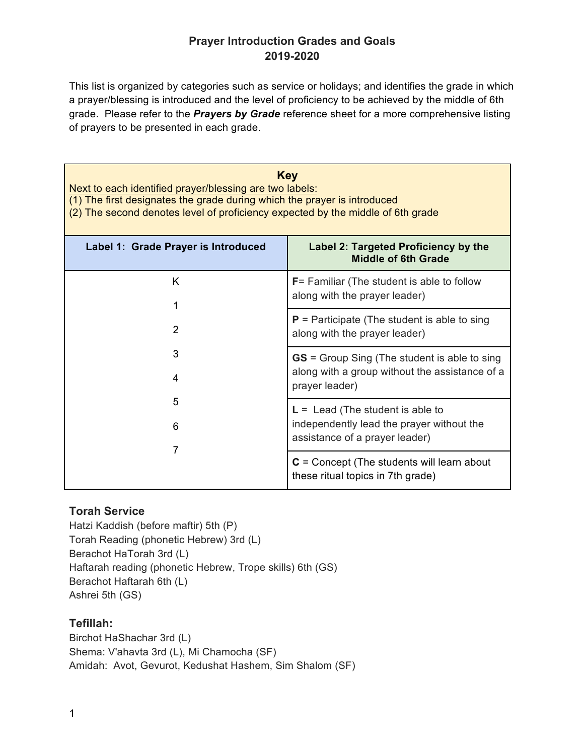# **Prayer Introduction Grades and Goals 2019-2020**

This list is organized by categories such as service or holidays; and identifies the grade in which a prayer/blessing is introduced and the level of proficiency to be achieved by the middle of 6th grade. Please refer to the *Prayers by Grade* reference sheet for a more comprehensive listing of prayers to be presented in each grade.

| <b>Key</b><br>Next to each identified prayer/blessing are two labels:<br>(1) The first designates the grade during which the prayer is introduced<br>(2) The second denotes level of proficiency expected by the middle of 6th grade |                                                                                                                         |
|--------------------------------------------------------------------------------------------------------------------------------------------------------------------------------------------------------------------------------------|-------------------------------------------------------------------------------------------------------------------------|
| Label 1: Grade Prayer is Introduced                                                                                                                                                                                                  | Label 2: Targeted Proficiency by the<br>Middle of 6th Grade                                                             |
| K<br>1                                                                                                                                                                                                                               | <b>F</b> = Familiar (The student is able to follow<br>along with the prayer leader)                                     |
| $\overline{2}$<br>3<br>4<br>5<br>6<br>7                                                                                                                                                                                              | $P$ = Participate (The student is able to sing<br>along with the prayer leader)                                         |
|                                                                                                                                                                                                                                      | <b>GS</b> = Group Sing (The student is able to sing<br>along with a group without the assistance of a<br>prayer leader) |
|                                                                                                                                                                                                                                      | $L =$ Lead (The student is able to<br>independently lead the prayer without the<br>assistance of a prayer leader)       |
|                                                                                                                                                                                                                                      | $C =$ Concept (The students will learn about<br>these ritual topics in 7th grade)                                       |

# **Torah Service**

Hatzi Kaddish (before maftir) 5th (P) Torah Reading (phonetic Hebrew) 3rd (L) Berachot HaTorah 3rd (L) Haftarah reading (phonetic Hebrew, Trope skills) 6th (GS) Berachot Haftarah 6th (L) Ashrei 5th (GS)

#### **Tefillah:**

Birchot HaShachar 3rd (L) Shema: V'ahavta 3rd (L), Mi Chamocha (SF) Amidah: Avot, Gevurot, Kedushat Hashem, Sim Shalom (SF)